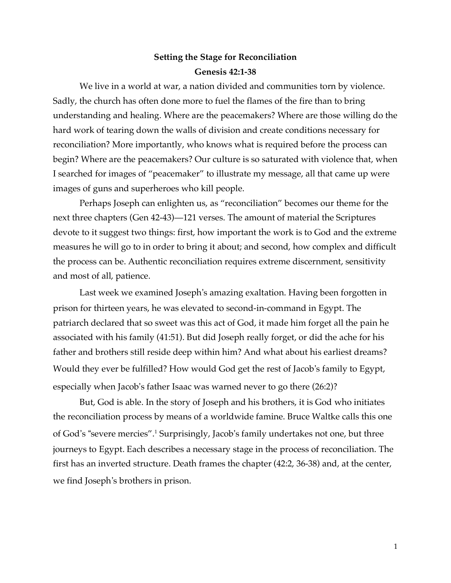## **Setting the Stage for Reconciliation Genesis 42:1-38**

We live in a world at war, a nation divided and communities torn by violence. Sadly, the church has often done more to fuel the flames of the fire than to bring understanding and healing. Where are the peacemakers? Where are those willing do the hard work of tearing down the walls of division and create conditions necessary for reconciliation? More importantly, who knows what is required before the process can begin? Where are the peacemakers? Our culture is so saturated with violence that, when I searched for images of "peacemaker" to illustrate my message, all that came up were images of guns and superheroes who kill people.

Perhaps Joseph can enlighten us, as "reconciliation" becomes our theme for the next three chapters (Gen 42-43)—121 verses. The amount of material the Scriptures devote to it suggest two things: first, how important the work is to God and the extreme measures he will go to in order to bring it about; and second, how complex and difficult the process can be. Authentic reconciliation requires extreme discernment, sensitivity and most of all, patience.

Last week we examined Joseph's amazing exaltation. Having been forgotten in prison for thirteen years, he was elevated to second-in-command in Egypt. The patriarch declared that so sweet was this act of God, it made him forget all the pain he associated with his family (41:51). But did Joseph really forget, or did the ache for his father and brothers still reside deep within him? And what about his earliest dreams? Would they ever be fulfilled? How would God get the rest of Jacob's family to Egypt, especially when Jacob's father Isaac was warned never to go there (26:2)?

But, God is able. In the story of Joseph and his brothers, it is God who initiates the reconciliation process by means of a worldwide famine. Bruce Waltke calls this one of God's "severe mercies".1 Surprisingly, Jacob's family undertakes not one, but three journeys to Egypt. Each describes a necessary stage in the process of reconciliation. The first has an inverted structure. Death frames the chapter (42:2, 36-38) and, at the center, we find Joseph's brothers in prison.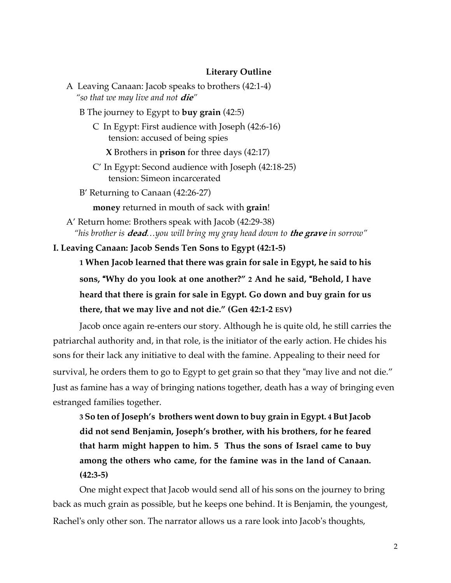#### **Literary Outline**

A Leaving Canaan: Jacob speaks to brothers (42:1-4) *"so that we may live and not* **die***"* B The journey to Egypt to **buy grain** (42:5) C In Egypt: First audience with Joseph (42:6-16) tension: accused of being spies **X** Brothers in **prison** for three days (42:17) C' In Egypt: Second audience with Joseph (42:18-25) tension: Simeon incarcerated B' Returning to Canaan (42:26-27) **money** returned in mouth of sack with **grain**! A' Return home: Brothers speak with Jacob (42:29-38)

 *"his brother is* **dead***…you will bring my gray head down to* **the grave** *in sorrow"*

**I. Leaving Canaan: Jacob Sends Ten Sons to Egypt (42:1-5)**

**1 When Jacob learned that there was grain for sale in Egypt, he said to his sons,** "**Why do you look at one another?" 2 And he said,** "**Behold, I have heard that there is grain for sale in Egypt. Go down and buy grain for us there, that we may live and not die." (Gen 42:1-2 ESV)**

Jacob once again re-enters our story. Although he is quite old, he still carries the patriarchal authority and, in that role, is the initiator of the early action. He chides his sons for their lack any initiative to deal with the famine. Appealing to their need for survival, he orders them to go to Egypt to get grain so that they "may live and not die." Just as famine has a way of bringing nations together, death has a way of bringing even estranged families together.

**3 So ten ofJoseph's brothers went down to buy grain in Egypt. 4ButJacob did not send Benjamin, Joseph's brother, with his brothers, for he feared that harm might happen to him. 5 Thus the sons of Israel came to buy among the others who came, for the famine was in the land of Canaan. (42:3-5)**

One might expect that Jacob would send all of his sons on the journey to bring back as much grain as possible, but he keeps one behind. It is Benjamin, the youngest, Rachel's only other son. The narrator allows us a rare look into Jacob's thoughts,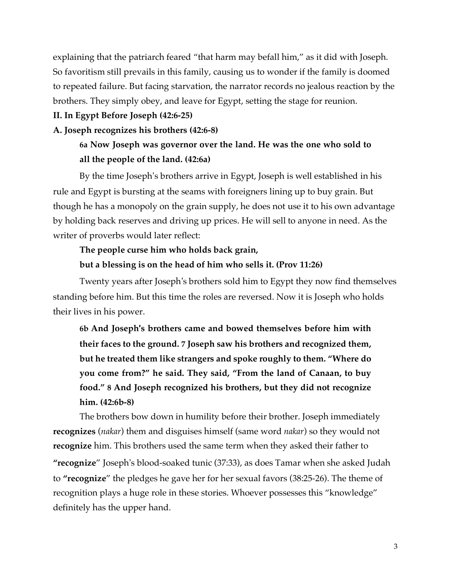explaining that the patriarch feared "that harm may befall him," as it did with Joseph. So favoritism still prevails in this family, causing us to wonder if the family is doomed to repeated failure. But facing starvation, the narrator records no jealous reaction by the brothers. They simply obey, and leave for Egypt, setting the stage for reunion.

### **II. In Egypt Before Joseph (42:6-25)**

### **A. Joseph recognizes his brothers (42:6-8)**

## **6a Now Joseph was governor over the land. He was the one who sold to all the people of the land. (42:6a)**

By the time Joseph's brothers arrive in Egypt, Joseph is well established in his rule and Egypt is bursting at the seams with foreigners lining up to buy grain. But though he has a monopoly on the grain supply, he does not use it to his own advantage by holding back reserves and driving up prices. He will sell to anyone in need. As the writer of proverbs would later reflect:

## **The people curse him who holds back grain, but a blessing is on the head of him who sells it. (Prov 11:26)**

Twenty years after Joseph's brothers sold him to Egypt they now find themselves standing before him. But this time the roles are reversed. Now it is Joseph who holds their lives in his power.

**6b And Joseph**'**s brothers came and bowed themselves before him with their faces to the ground. 7 Joseph saw his brothers and recognized them, but he treated them like strangers and spoke roughly to them. "Where do you come from?" he said. They said, "From the land of Canaan, to buy food." 8 And Joseph recognized his brothers, but they did not recognize him. (42:6b-8)**

The brothers bow down in humility before their brother. Joseph immediately **recognizes** (*nakar*) them and disguises himself (same word *nakar*) so they would not **recognize** him. This brothers used the same term when they asked their father to **"recognize**" Joseph's blood-soaked tunic (37:33), as does Tamar when she asked Judah to **"recognize**" the pledges he gave her for her sexual favors (38:25-26). The theme of recognition plays a huge role in these stories. Whoever possesses this "knowledge" definitely has the upper hand.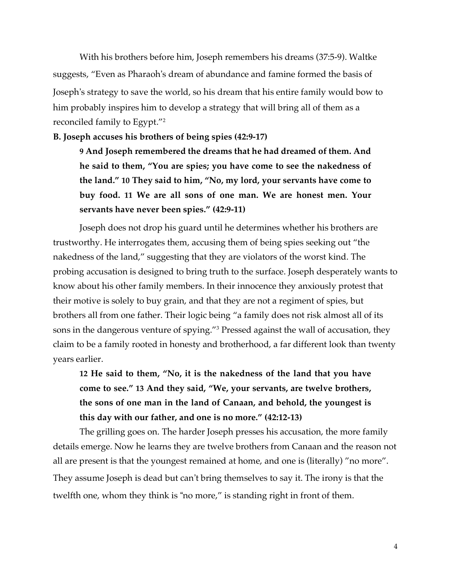With his brothers before him, Joseph remembers his dreams (37:5-9). Waltke suggests, "Even as Pharaoh's dream of abundance and famine formed the basis of Joseph's strategy to save the world, so his dream that his entire family would bow to him probably inspires him to develop a strategy that will bring all of them as a reconciled family to Egypt."2

**B. Joseph accuses his brothers of being spies (42:9-17)**

**9 And Joseph remembered the dreams that he had dreamed of them. And he said to them, "You are spies; you have come to see the nakedness of the land." 10 They said to him, "No, my lord, your servants have come to buy food. 11 We are all sons of one man. We are honest men. Your servants have never been spies." (42:9-11)**

Joseph does not drop his guard until he determines whether his brothers are trustworthy. He interrogates them, accusing them of being spies seeking out "the nakedness of the land," suggesting that they are violators of the worst kind. The probing accusation is designed to bring truth to the surface. Joseph desperately wants to know about his other family members. In their innocence they anxiously protest that their motive is solely to buy grain, and that they are not a regiment of spies, but brothers all from one father. Their logic being "a family does not risk almost all of its sons in the dangerous venture of spying."3 Pressed against the wall of accusation, they claim to be a family rooted in honesty and brotherhood, a far different look than twenty years earlier.

**12 He said to them, "No, it is the nakedness of the land that you have come to see." 13 And they said, "We, your servants, are twelve brothers, the sons of one man in the land of Canaan, and behold, the youngest is this day with our father, and one is no more." (42:12-13)**

The grilling goes on. The harder Joseph presses his accusation, the more family details emerge. Now he learns they are twelve brothers from Canaan and the reason not all are present is that the youngest remained at home, and one is (literally) "no more". They assume Joseph is dead but can't bring themselves to say it. The irony is that the twelfth one, whom they think is "no more," is standing right in front of them.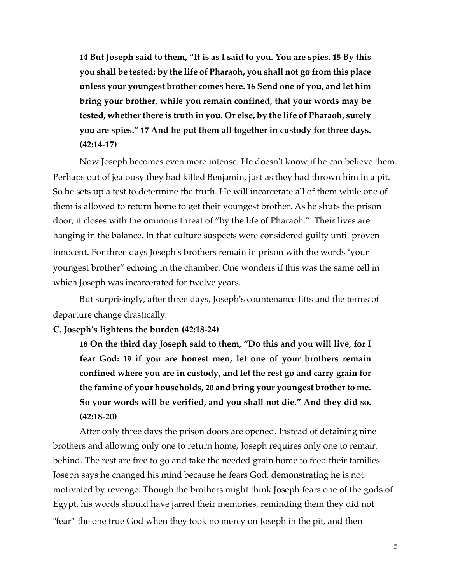**14 But Joseph said to them, "It is as I said to you. You are spies. 15 By this you shall be tested: by the life of Pharaoh, you shall not go from this place unless your youngest brother comes here. 16 Send one of you, and let him bring your brother, while you remain confined, that your words may be tested, whether there is truth in you. Or else, by the life of Pharaoh, surely you are spies." 17 And he put them all together in custody for three days. (42:14-17)**

Now Joseph becomes even more intense. He doesn't know if he can believe them. Perhaps out of jealousy they had killed Benjamin, just as they had thrown him in a pit. So he sets up a test to determine the truth. He will incarcerate all of them while one of them is allowed to return home to get their youngest brother. As he shuts the prison door, it closes with the ominous threat of "by the life of Pharaoh." Their lives are hanging in the balance. In that culture suspects were considered guilty until proven innocent. For three days Joseph's brothers remain in prison with the words "your youngest brother" echoing in the chamber. One wonders if this was the same cell in which Joseph was incarcerated for twelve years.

But surprisingly, after three days, Joseph's countenance lifts and the terms of departure change drastically.

#### **C. Joseph's lightens the burden (42:18-24)**

**18 On the third day Joseph said to them, "Do this and you will live, for I fear God: 19 if you are honest men, let one of your brothers remain confined where you are in custody, and let the rest go and carry grain for the famine of your households, 20 and bring your youngest brother to me. So your words will be verified, and you shall not die." And they did so. (42:18-20)**

After only three days the prison doors are opened. Instead of detaining nine brothers and allowing only one to return home, Joseph requires only one to remain behind. The rest are free to go and take the needed grain home to feed their families. Joseph says he changed his mind because he fears God, demonstrating he is not motivated by revenge. Though the brothers might think Joseph fears one of the gods of Egypt, his words should have jarred their memories, reminding them they did not "fear" the one true God when they took no mercy on Joseph in the pit, and then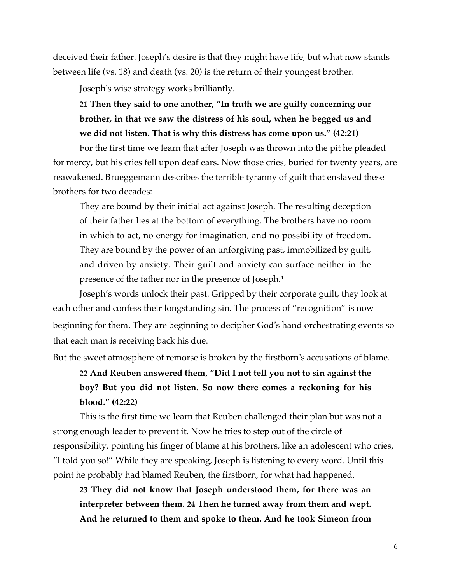deceived their father. Joseph's desire is that they might have life, but what now stands between life (vs. 18) and death (vs. 20) is the return of their youngest brother.

Joseph's wise strategy works brilliantly.

**21 Then they said to one another, "In truth we are guilty concerning our brother, in that we saw the distress of his soul, when he begged us and we did not listen. That is why this distress has come upon us." (42:21)**

For the first time we learn that after Joseph was thrown into the pit he pleaded for mercy, but his cries fell upon deaf ears. Now those cries, buried for twenty years, are reawakened. Brueggemann describes the terrible tyranny of guilt that enslaved these brothers for two decades:

They are bound by their initial act against Joseph. The resulting deception of their father lies at the bottom of everything. The brothers have no room in which to act, no energy for imagination, and no possibility of freedom. They are bound by the power of an unforgiving past, immobilized by guilt, and driven by anxiety. Their guilt and anxiety can surface neither in the presence of the father nor in the presence of Joseph.4

Joseph's words unlock their past. Gripped by their corporate guilt, they look at each other and confess their longstanding sin. The process of "recognition" is now beginning for them. They are beginning to decipher God's hand orchestrating events so that each man is receiving back his due.

But the sweet atmosphere of remorse is broken by the firstborn's accusations of blame.

**22 And Reuben answered them, "Did I not tell you not to sin against the boy? But you did not listen. So now there comes a reckoning for his blood." (42:22)**

This is the first time we learn that Reuben challenged their plan but was not a strong enough leader to prevent it. Now he tries to step out of the circle of responsibility, pointing his finger of blame at his brothers, like an adolescent who cries, "I told you so!" While they are speaking, Joseph is listening to every word. Until this point he probably had blamed Reuben, the firstborn, for what had happened.

**23 They did not know that Joseph understood them, for there was an interpreter between them. 24 Then he turned away from them and wept. And he returned to them and spoke to them. And he took Simeon from**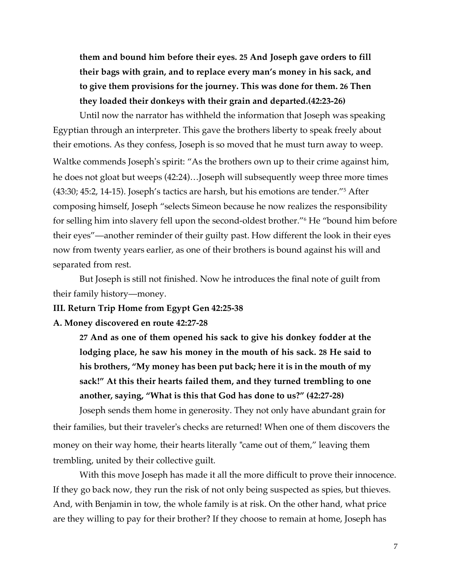**them and bound him before their eyes. 25 And Joseph gave orders to fill their bags with grain, and to replace every man's money in his sack, and to give them provisions for the journey. This was done for them. 26 Then they loaded their donkeys with their grain and departed.(42:23-26)**

Until now the narrator has withheld the information that Joseph was speaking Egyptian through an interpreter. This gave the brothers liberty to speak freely about their emotions. As they confess, Joseph is so moved that he must turn away to weep. Waltke commends Joseph's spirit: "As the brothers own up to their crime against him, he does not gloat but weeps (42:24)…Joseph will subsequently weep three more times (43:30; 45:2, 14-15). Joseph's tactics are harsh, but his emotions are tender."5 After composing himself, Joseph "selects Simeon because he now realizes the responsibility for selling him into slavery fell upon the second-oldest brother."6 He "bound him before their eyes"—another reminder of their guilty past. How different the look in their eyes now from twenty years earlier, as one of their brothers is bound against his will and separated from rest.

But Joseph is still not finished. Now he introduces the final note of guilt from their family history—money.

**III. Return Trip Home from Egypt Gen 42:25-38**

### **A. Money discovered en route 42:27-28**

**27 And as one of them opened his sack to give his donkey fodder at the lodging place, he saw his money in the mouth of his sack. 28 He said to his brothers, "My money has been put back; here it is in the mouth of my sack!" At this their hearts failed them, and they turned trembling to one another, saying, "What is this that God has done to us?" (42:27-28)**

Joseph sends them home in generosity. They not only have abundant grain for their families, but their traveler's checks are returned! When one of them discovers the money on their way home, their hearts literally "came out of them," leaving them trembling, united by their collective guilt.

With this move Joseph has made it all the more difficult to prove their innocence. If they go back now, they run the risk of not only being suspected as spies, but thieves. And, with Benjamin in tow, the whole family is at risk. On the other hand, what price are they willing to pay for their brother? If they choose to remain at home, Joseph has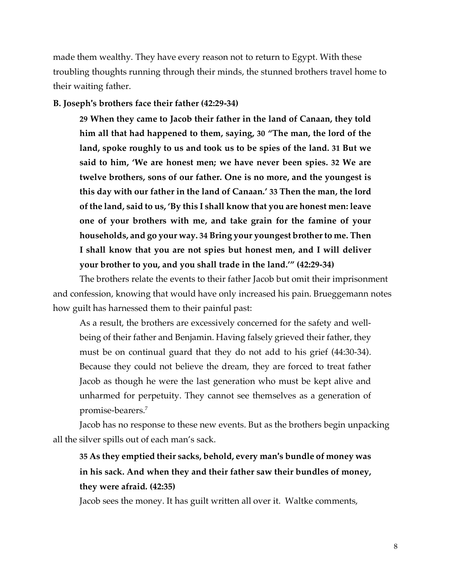made them wealthy. They have every reason not to return to Egypt. With these troubling thoughts running through their minds, the stunned brothers travel home to their waiting father.

### **B. Joseph**'**s brothers face their father (42:29-34)**

**29 When they came to Jacob their father in the land of Canaan, they told him all that had happened to them, saying, 30 "The man, the lord of the land, spoke roughly to us and took us to be spies of the land. 31 But we said to him, 'We are honest men; we have never been spies. 32 We are twelve brothers, sons of our father. One is no more, and the youngest is this day with our father in the land of Canaan.' 33 Then the man, the lord ofthe land, said to us, 'By this I shall know that you are honest men: leave one of your brothers with me, and take grain for the famine of your households, and go your way. 34 Bring your youngest brotherto me. Then I shall know that you are not spies but honest men, and I will deliver your brother to you, and you shall trade in the land.'" (42:29-34)**

The brothers relate the events to their father Jacob but omit their imprisonment and confession, knowing that would have only increased his pain. Brueggemann notes how guilt has harnessed them to their painful past:

As a result, the brothers are excessively concerned for the safety and wellbeing of their father and Benjamin. Having falsely grieved their father, they must be on continual guard that they do not add to his grief (44:30-34). Because they could not believe the dream, they are forced to treat father Jacob as though he were the last generation who must be kept alive and unharmed for perpetuity. They cannot see themselves as a generation of promise-bearers.7

Jacob has no response to these new events. But as the brothers begin unpacking all the silver spills out of each man's sack.

# **35 As they emptied their sacks, behold, every man**'**s bundle of money was in his sack. And when they and their father saw their bundles of money, they were afraid. (42:35)**

Jacob sees the money. It has guilt written all over it. Waltke comments,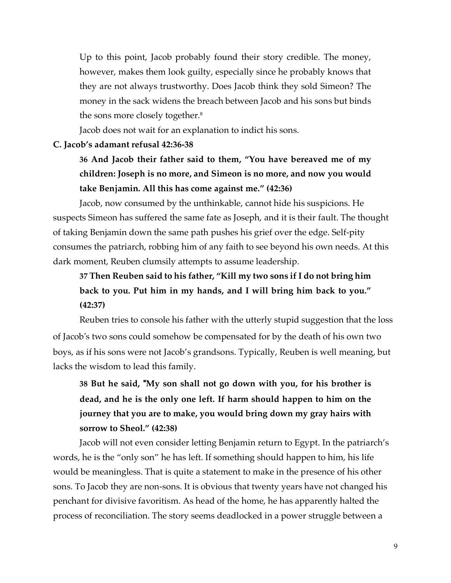Up to this point, Jacob probably found their story credible. The money, however, makes them look guilty, especially since he probably knows that they are not always trustworthy. Does Jacob think they sold Simeon? The money in the sack widens the breach between Jacob and his sons but binds the sons more closely together.<sup>8</sup>

Jacob does not wait for an explanation to indict his sons.

### **C. Jacob's adamant refusal 42:36-38**

# **36 And Jacob their father said to them, "You have bereaved me of my children: Joseph is no more, and Simeon is no more, and now you would take Benjamin. All this has come against me." (42:36)**

Jacob, now consumed by the unthinkable, cannot hide his suspicions. He suspects Simeon has suffered the same fate as Joseph, and it is their fault. The thought of taking Benjamin down the same path pushes his grief over the edge. Self-pity consumes the patriarch, robbing him of any faith to see beyond his own needs. At this dark moment, Reuben clumsily attempts to assume leadership.

# **37 Then Reuben said to his father, "Kill my two sons if I do not bring him back to you. Put him in my hands, and I will bring him back to you." (42:37)**

Reuben tries to console his father with the utterly stupid suggestion that the loss of Jacob's two sons could somehow be compensated for by the death of his own two boys, as if his sons were not Jacob's grandsons. Typically, Reuben is well meaning, but lacks the wisdom to lead this family.

# **38 But he said,** "**My son shall not go down with you, for his brother is dead, and he is the only one left. If harm should happen to him on the journey that you are to make, you would bring down my gray hairs with sorrow to Sheol." (42:38)**

Jacob will not even consider letting Benjamin return to Egypt. In the patriarch's words, he is the "only son" he has left. If something should happen to him, his life would be meaningless. That is quite a statement to make in the presence of his other sons. To Jacob they are non-sons. It is obvious that twenty years have not changed his penchant for divisive favoritism. As head of the home, he has apparently halted the process of reconciliation. The story seems deadlocked in a power struggle between a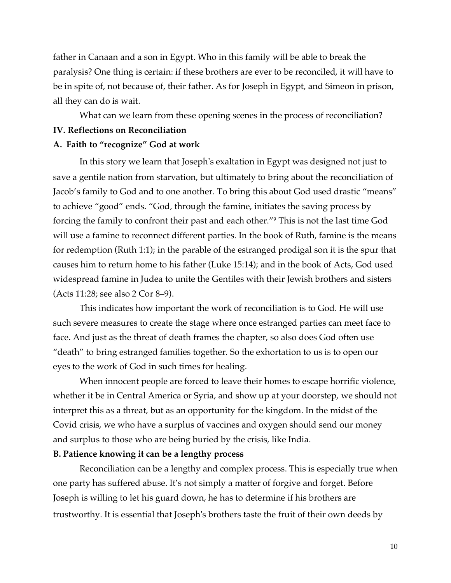father in Canaan and a son in Egypt. Who in this family will be able to break the paralysis? One thing is certain: if these brothers are ever to be reconciled, it will have to be in spite of, not because of, their father. As for Joseph in Egypt, and Simeon in prison, all they can do is wait.

What can we learn from these opening scenes in the process of reconciliation? **IV. Reflections on Reconciliation**

### **A. Faith to "recognize" God at work**

In this story we learn that Joseph's exaltation in Egypt was designed not just to save a gentile nation from starvation, but ultimately to bring about the reconciliation of Jacob's family to God and to one another. To bring this about God used drastic "means" to achieve "good" ends. "God, through the famine, initiates the saving process by forcing the family to confront their past and each other."9 This is not the last time God will use a famine to reconnect different parties. In the book of Ruth, famine is the means for redemption (Ruth 1:1); in the parable of the estranged prodigal son it is the spur that causes him to return home to his father (Luke 15:14); and in the book of Acts, God used widespread famine in Judea to unite the Gentiles with their Jewish brothers and sisters (Acts 11:28; see also 2 Cor 8–9).

This indicates how important the work of reconciliation is to God. He will use such severe measures to create the stage where once estranged parties can meet face to face. And just as the threat of death frames the chapter, so also does God often use "death" to bring estranged families together. So the exhortation to us is to open our eyes to the work of God in such times for healing.

When innocent people are forced to leave their homes to escape horrific violence, whether it be in Central America or Syria, and show up at your doorstep, we should not interpret this as a threat, but as an opportunity for the kingdom. In the midst of the Covid crisis, we who have a surplus of vaccines and oxygen should send our money and surplus to those who are being buried by the crisis, like India.

### **B. Patience knowing it can be a lengthy process**

Reconciliation can be a lengthy and complex process. This is especially true when one party has suffered abuse. It's not simply a matter of forgive and forget. Before Joseph is willing to let his guard down, he has to determine if his brothers are trustworthy. It is essential that Joseph's brothers taste the fruit of their own deeds by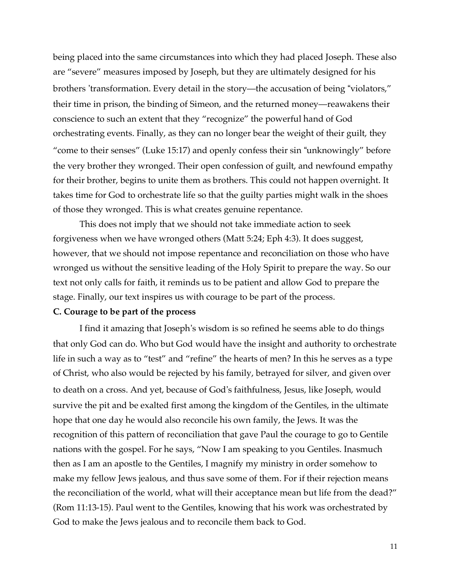being placed into the same circumstances into which they had placed Joseph. These also are "severe" measures imposed by Joseph, but they are ultimately designed for his brothers 'transformation. Every detail in the story—the accusation of being "violators," their time in prison, the binding of Simeon, and the returned money—reawakens their conscience to such an extent that they "recognize" the powerful hand of God orchestrating events. Finally, as they can no longer bear the weight of their guilt, they "come to their senses" (Luke 15:17) and openly confess their sin "unknowingly" before the very brother they wronged. Their open confession of guilt, and newfound empathy for their brother, begins to unite them as brothers. This could not happen overnight. It takes time for God to orchestrate life so that the guilty parties might walk in the shoes of those they wronged. This is what creates genuine repentance.

This does not imply that we should not take immediate action to seek forgiveness when we have wronged others (Matt 5:24; Eph 4:3). It does suggest, however, that we should not impose repentance and reconciliation on those who have wronged us without the sensitive leading of the Holy Spirit to prepare the way. So our text not only calls for faith, it reminds us to be patient and allow God to prepare the stage. Finally, our text inspires us with courage to be part of the process.

#### **C. Courage to be part of the process**

I find it amazing that Joseph's wisdom is so refined he seems able to do things that only God can do. Who but God would have the insight and authority to orchestrate life in such a way as to "test" and "refine" the hearts of men? In this he serves as a type of Christ, who also would be rejected by his family, betrayed for silver, and given over to death on a cross. And yet, because of God's faithfulness, Jesus, like Joseph, would survive the pit and be exalted first among the kingdom of the Gentiles, in the ultimate hope that one day he would also reconcile his own family, the Jews. It was the recognition of this pattern of reconciliation that gave Paul the courage to go to Gentile nations with the gospel. For he says, "Now I am speaking to you Gentiles. Inasmuch then as I am an apostle to the Gentiles, I magnify my ministry in order somehow to make my fellow Jews jealous, and thus save some of them. For if their rejection means the reconciliation of the world, what will their acceptance mean but life from the dead?" (Rom 11:13-15). Paul went to the Gentiles, knowing that his work was orchestrated by God to make the Jews jealous and to reconcile them back to God.